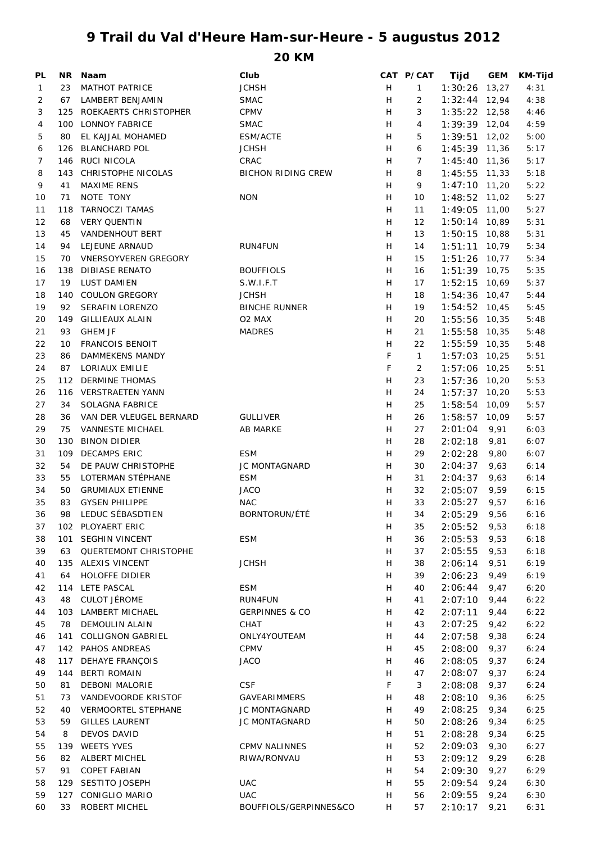## **9 Trail du Val d'Heure Ham-sur-Heure - 5 augustus 2012**

**20 KM**

| PL |     | NR Naam                     | Club                      |   | CAT P/CAT      | Tijd            | <b>GEM</b> | <b>KM-Tijd</b> |
|----|-----|-----------------------------|---------------------------|---|----------------|-----------------|------------|----------------|
| 1  | 23  | <b>MATHOT PATRICE</b>       | <b>JCHSH</b>              | H | $\mathbf{1}$   | $1:30:26$ 13,27 |            | 4:31           |
| 2  | 67  | LAMBERT BENJAMIN            | <b>SMAC</b>               | H | 2              | $1:32:44$ 12,94 |            | 4:38           |
| 3  |     | 125 ROEKAERTS CHRISTOPHER   | <b>CPMV</b>               | H | 3              | $1:35:22$ 12,58 |            | 4:46           |
| 4  |     | 100 LONNOY FABRICE          | <b>SMAC</b>               | H | 4              | 1:39:39 12,04   |            | 4:59           |
| 5  | 80  | EL KAJJAL MOHAMED           | ESM/ACTE                  | H | 5              | $1:39:51$ 12,02 |            | 5:00           |
| 6  | 126 | <b>BLANCHARD POL</b>        | <b>JCHSH</b>              | H | 6              | 1:45:39 11,36   |            | 5:17           |
| 7  |     | 146 RUCI NICOLA             | CRAC                      | Н | 7              | $1:45:40$ 11,36 |            | 5:17           |
| 8  |     | 143 CHRISTOPHE NICOLAS      | <b>BICHON RIDING CREW</b> | Н | 8              | $1:45:55$ 11,33 |            | 5:18           |
| 9  | 41  | <b>MAXIME RENS</b>          |                           | Н | 9              | $1:47:10$ 11,20 |            | 5:22           |
| 10 | 71  | NOTE TONY                   | <b>NON</b>                | Н | 10             | $1:48:52$ 11,02 |            | 5:27           |
| 11 | 118 | <b>TARNOCZI TAMAS</b>       |                           | Н | 11             | 1:49:05 11,00   |            | 5:27           |
| 12 | 68  | <b>VERY QUENTIN</b>         |                           | Н | 12             | 1:50:14 10,89   |            | 5:31           |
| 13 | 45  | <b>VANDENHOUT BERT</b>      |                           | Н | 13             | $1:50:15$ 10,88 |            | 5:31           |
| 14 | 94  | LEJEUNE ARNAUD              | RUN4FUN                   | H | 14             | $1:51:11$ 10,79 |            | 5:34           |
| 15 | 70  | <b>VNERSOYVEREN GREGORY</b> |                           | H | 15             | $1:51:26$ 10,77 |            | 5:34           |
| 16 | 138 | <b>DIBIASE RENATO</b>       | <b>BOUFFIOLS</b>          | Н | 16             | $1:51:39$ 10,75 |            | 5:35           |
| 17 | 19  | LUST DAMIEN                 | S.W.I.F.T                 | H | 17             | $1:52:15$ 10,69 |            | 5:37           |
| 18 |     | 140 COULON GREGORY          | <b>JCHSH</b>              | H | 18             | 1:54:36 10,47   |            | 5:44           |
|    |     |                             |                           |   |                |                 |            |                |
| 19 | 92  | SERAFIN LORENZO             | <b>BINCHE RUNNER</b>      | H | 19             | $1:54:52$ 10,45 |            | 5:45           |
| 20 | 149 | <b>GILLIEAUX ALAIN</b>      | O2 MAX                    | Н | 20             | 1:55:56 10,35   |            | 5:48           |
| 21 | 93  | <b>GHEM JF</b>              | <b>MADRES</b>             | Н | 21             | 1:55:58 10,35   |            | 5:48           |
| 22 | 10  | <b>FRANCOIS BENOIT</b>      |                           | H | 22             | 1:55:59 10,35   |            | 5:48           |
| 23 | 86  | DAMMEKENS MANDY             |                           | F | $\mathbf{1}$   | $1:57:03$ 10,25 |            | 5:51           |
| 24 | 87  | LORIAUX EMILIE              |                           | F | $\overline{2}$ | 1:57:06 10,25   |            | 5:51           |
| 25 |     | 112 DERMINE THOMAS          |                           | H | 23             | $1:57:36$ 10,20 |            | 5:53           |
| 26 |     | 116 VERSTRAETEN YANN        |                           | Н | 24             | $1:57:37$ 10,20 |            | 5:53           |
| 27 | 34  | SOLAGNA FABRICE             |                           | Н | 25             | 1:58:54 10,09   |            | 5:57           |
| 28 | 36  | VAN DER VLEUGEL BERNARD     | <b>GULLIVER</b>           | Н | 26             | 1:58:57         | 10,09      | 5:57           |
| 29 | 75  | VANNESTE MICHAEL            | AB MARKE                  | Н | 27             | 2:01:04         | 9,91       | 6:03           |
| 30 | 130 | <b>BINON DIDIER</b>         |                           | Н | 28             | 2:02:18         | 9,81       | 6:07           |
| 31 | 109 | <b>DECAMPS ERIC</b>         | <b>ESM</b>                | Н | 29             | 2:02:28         | 9,80       | 6:07           |
| 32 | 54  | DE PAUW CHRISTOPHE          | <b>JC MONTAGNARD</b>      | Н | 30             | 2:04:37         | 9,63       | 6:14           |
| 33 | 55  | LOTERMAN STÉPHANE           | ESM                       | Н | 31             | 2:04:37         | 9,63       | 6:14           |
| 34 | 50  | <b>GRUMIAUX ETIENNE</b>     | <b>JACO</b>               | H | 32             | 2:05:07         | 9,59       | 6:15           |
| 35 | 83  | <b>GYSEN PHILIPPE</b>       | <b>NAC</b>                | H | 33             | 2:05:27         | 9,57       | 6:16           |
| 36 | 98  | LEDUC SÉBASDTIEN            | BORNTORUN/ÉTÉ             | Н | 34             | 2:05:29         | 9,56       | 6:16           |
| 37 |     | 102 PLOYAERT ERIC           |                           | H | 35             | 2:05:52         | 9,53       | 6:18           |
| 38 | 101 | <b>SEGHIN VINCENT</b>       | <b>ESM</b>                | H | 36             | 2:05:53         | 9,53       | 6:18           |
| 39 | 63  | QUERTEMONT CHRISTOPHE       |                           | H | 37             | 2:05:55         | 9,53       | 6:18           |
| 40 |     | 135 ALEXIS VINCENT          | <b>JCHSH</b>              | H | 38             | 2:06:14         | 9,51       | 6:19           |
| 41 | 64  | <b>HOLOFFE DIDIER</b>       |                           | H | 39             | 2:06:23         | 9,49       | 6:19           |
| 42 |     | 114 LETE PASCAL             | <b>ESM</b>                | H | 40             | 2:06:44         | 9,47       | 6:20           |
| 43 | 48  | <b>CULOT JÉROME</b>         | <b>RUN4FUN</b>            | Н | 41             | 2:07:10         | 9,44       | 6:22           |
| 44 |     | 103 LAMBERT MICHAEL         | <b>GERPINNES &amp; CO</b> | H | 42             | 2:07:11         | 9,44       | 6:22           |
| 45 | 78  | <b>DEMOULIN ALAIN</b>       | CHAT                      | Н | 43             | 2:07:25         | 9,42       | 6:22           |
| 46 | 141 | <b>COLLIGNON GABRIEL</b>    | ONLY4YOUTEAM              | Н | 44             | 2:07:58         | 9,38       | 6:24           |
| 47 |     | 142 PAHOS ANDREAS           | <b>CPMV</b>               | H | 45             | 2:08:00         | 9,37       | 6:24           |
| 48 | 117 | <b>DEHAYE FRANÇOIS</b>      | <b>JACO</b>               | Н | 46             | 2:08:05         | 9,37       | 6:24           |
| 49 | 144 | <b>BERTI ROMAIN</b>         |                           | Н | 47             | 2:08:07         | 9,37       | 6:24           |
| 50 | 81  | <b>DEBONI MALORIE</b>       | <b>CSF</b>                | F | 3              | 2:08:08         | 9,37       | 6:24           |
| 51 | 73  | VANDEVOORDE KRISTOF         | <b>GAVEARIMMERS</b>       | Н | 48             | 2:08:10         | 9,36       | 6:25           |
| 52 |     | <b>VERMOORTEL STEPHANE</b>  | JC MONTAGNARD             | Н | 49             | 2:08:25         |            | 6:25           |
|    | 40  |                             |                           |   |                |                 | 9,34       |                |
| 53 | 59  | <b>GILLES LAURENT</b>       | JC MONTAGNARD             | Н | 50             | 2:08:26         | 9,34       | 6:25           |
| 54 | 8   | DEVOS DAVID                 |                           | H | 51             | 2:08:28         | 9,34       | 6:25           |
| 55 | 139 | <b>WEETS YVES</b>           | <b>CPMV NALINNES</b>      | H | 52             | 2:09:03         | 9,30       | 6:27           |
| 56 | 82  | <b>ALBERT MICHEL</b>        | RIWA/RONVAU               | H | 53             | 2:09:12         | 9,29       | 6:28           |
| 57 | 91  | <b>COPET FABIAN</b>         |                           | H | 54             | 2:09:30         | 9,27       | 6:29           |
| 58 | 129 | SESTITO JOSEPH              | <b>UAC</b>                | H | 55             | 2:09:54         | 9,24       | 6:30           |
| 59 | 127 | <b>CONIGLIO MARIO</b>       | <b>UAC</b>                | Н | 56             | 2:09:55         | 9,24       | 6:30           |
| 60 | 33  | ROBERT MICHEL               | BOUFFIOLS/GERPINNES&CO    | H | 57             | 2:10:17         | 9,21       | 6:31           |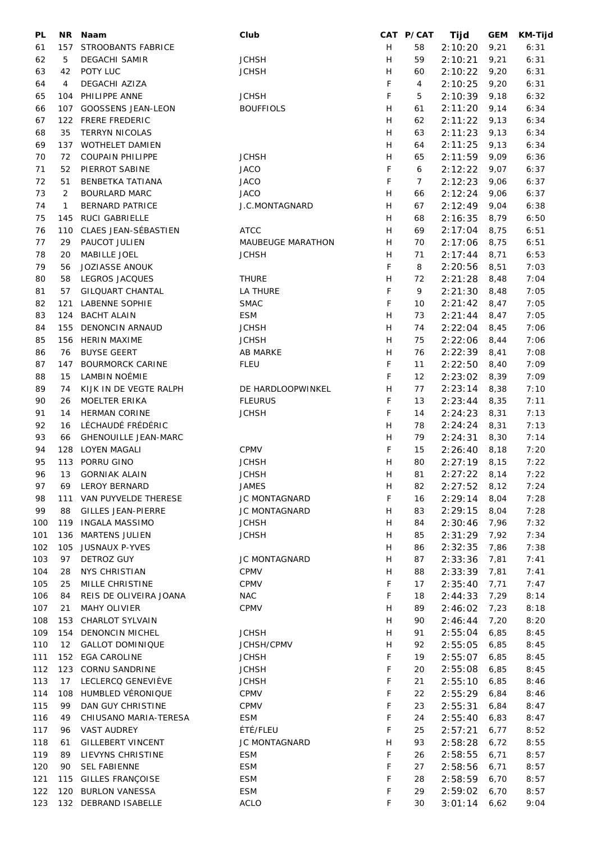| PL  | NR.          | Naam                        | Club                     |   | CAT P/CAT      | Tijd    | <b>GEM</b> | <b>KM-Tijd</b> |
|-----|--------------|-----------------------------|--------------------------|---|----------------|---------|------------|----------------|
| 61  | 157          | STROOBANTS FABRICE          |                          | H | 58             | 2:10:20 | 9,21       | 6:31           |
| 62  | 5            | <b>DEGACHI SAMIR</b>        | <b>JCHSH</b>             | Н | 59             | 2:10:21 | 9,21       | 6:31           |
| 63  | 42           | POTY LUC                    | <b>JCHSH</b>             | Н | 60             | 2:10:22 | 9,20       | 6:31           |
| 64  | 4            | DEGACHI AZIZA               |                          | F | 4              | 2:10:25 | 9,20       | 6:31           |
|     |              | PHILIPPE ANNE               | <b>JCHSH</b>             | F | 5              | 2:10:39 |            | 6:32           |
| 65  | 104          |                             |                          |   |                |         | 9,18       |                |
| 66  |              | 107 GOOSSENS JEAN-LEON      | <b>BOUFFIOLS</b>         | H | 61             | 2:11:20 | 9,14       | 6:34           |
| 67  |              | 122 FRERE FREDERIC          |                          | H | 62             | 2:11:22 | 9,13       | 6:34           |
| 68  | 35           | <b>TERRYN NICOLAS</b>       |                          | H | 63             | 2:11:23 | 9,13       | 6:34           |
| 69  | 137          | WOTHELET DAMIEN             |                          | Н | 64             | 2:11:25 | 9,13       | 6:34           |
| 70  | 72           | <b>COUPAIN PHILIPPE</b>     | <b>JCHSH</b>             | н | 65             | 2:11:59 | 9,09       | 6:36           |
| 71  | 52           | PIERROT SABINE              | <b>JACO</b>              | F | 6              | 2:12:22 | 9,07       | 6:37           |
| 72  | 51           | BENBETKA TATIANA            | <b>JACO</b>              | F | $\overline{7}$ | 2:12:23 | 9,06       | 6:37           |
| 73  | 2            | <b>BOURLARD MARC</b>        | <b>JACO</b>              | Н | 66             | 2:12:24 | 9,06       | 6:37           |
| 74  | $\mathbf{1}$ | <b>BERNARD PATRICE</b>      | J.C.MONTAGNARD           | Н | 67             | 2:12:49 | 9,04       | 6:38           |
|     |              |                             |                          |   |                |         |            |                |
| 75  | 145          | RUCI GABRIELLE              |                          | Н | 68             | 2:16:35 | 8,79       | 6:50           |
| 76  | 110          | CLAES JEAN-SÉBASTIEN        | <b>ATCC</b>              | Н | 69             | 2:17:04 | 8,75       | 6:51           |
| 77  | 29           | PAUCOT JULIEN               | <b>MAUBEUGE MARATHON</b> | H | 70             | 2:17:06 | 8,75       | 6:51           |
| 78  | 20           | MABILLE JOEL                | <b>JCHSH</b>             | Н | 71             | 2:17:44 | 8,71       | 6:53           |
| 79  | 56           | JOZIASSE ANOUK              |                          | F | 8              | 2:20:56 | 8,51       | 7:03           |
| 80  | 58           | LEGROS JACQUES              | <b>THURE</b>             | H | 72             | 2:21:28 | 8,48       | 7:04           |
| 81  | 57           | <b>GILQUART CHANTAL</b>     | <b>LA THURE</b>          | F | 9              | 2:21:30 | 8,48       | 7:05           |
| 82  | 121          | <b>LABENNE SOPHIE</b>       | <b>SMAC</b>              | F | 10             | 2:21:42 | 8,47       | 7:05           |
| 83  | 124          | <b>BACHT ALAIN</b>          | <b>ESM</b>               | H | 73             | 2:21:44 | 8,47       | 7:05           |
|     |              |                             |                          |   |                |         |            |                |
| 84  | 155          | DENONCIN ARNAUD             | <b>JCHSH</b>             | H | 74             | 2:22:04 | 8,45       | 7:06           |
| 85  |              | 156 HERIN MAXIME            | <b>JCHSH</b>             | H | 75             | 2:22:06 | 8,44       | 7:06           |
| 86  | 76           | <b>BUYSE GEERT</b>          | <b>AB MARKE</b>          | H | 76             | 2:22:39 | 8,41       | 7:08           |
| 87  | 147          | <b>BOURMORCK CARINE</b>     | <b>FLEU</b>              | F | 11             | 2:22:50 | 8,40       | 7:09           |
| 88  | 15           | LAMBIN NOÉMIE               |                          | F | 12             | 2:23:02 | 8,39       | 7:09           |
| 89  | 74           | KIJK IN DE VEGTE RALPH      | DE HARDLOOPWINKEL        | Н | 77             | 2:23:14 | 8,38       | 7:10           |
| 90  | 26           | MOELTER ERIKA               | <b>FLEURUS</b>           | F | 13             | 2:23:44 | 8,35       | 7:11           |
| 91  | 14           | <b>HERMAN CORINE</b>        | <b>JCHSH</b>             | F | 14             | 2:24:23 | 8,31       | 7:13           |
| 92  | 16           | LÉCHAUDÉ FRÉDÉRIC           |                          | Н | 78             | 2:24:24 | 8,31       | 7:13           |
| 93  |              | <b>GHENOUILLE JEAN-MARC</b> |                          | Н | 79             |         |            |                |
|     | 66           |                             |                          |   |                | 2:24:31 | 8,30       | 7:14           |
| 94  | 128          | <b>LOYEN MAGALI</b>         | CPMV                     | F | 15             | 2:26:40 | 8,18       | 7:20           |
| 95  | 113          | PORRU GINO                  | <b>JCHSH</b>             | Н | 80             | 2:27:19 | 8,15       | 7:22           |
| 96  | 13           | <b>GORNIAK ALAIN</b>        | <b>JCHSH</b>             | Н | 81             | 2:27:22 | 8,14       | 7:22           |
| 97  | 69           | <b>LEROY BERNARD</b>        | <b>JAMES</b>             | H | 82             | 2:27:52 | 8,12       | 7:24           |
| 98  | 111          | VAN PUYVELDE THERESE        | JC MONTAGNARD            | F | 16             | 2:29:14 | 8,04       | 7:28           |
| 99  | 88           | <b>GILLES JEAN-PIERRE</b>   | JC MONTAGNARD            | H | 83             | 2:29:15 | 8,04       | 7:28           |
| 100 | 119          | <b>INGALA MASSIMO</b>       | <b>JCHSH</b>             | H | 84             | 2:30:46 | 7,96       | 7:32           |
| 101 | 136          | <b>MARTENS JULIEN</b>       | <b>JCHSH</b>             | H | 85             | 2:31:29 | 7,92       | 7:34           |
| 102 | 105          | <b>JUSNAUX P-YVES</b>       |                          | H | 86             | 2:32:35 | 7,86       | 7:38           |
|     |              | <b>DETROZ GUY</b>           |                          |   |                |         |            |                |
| 103 | 97           |                             | <b>JC MONTAGNARD</b>     | Н | 87             | 2:33:36 | 7,81       | 7:41           |
| 104 | 28           | <b>NYS CHRISTIAN</b>        | <b>CPMV</b>              | Η | 88             | 2:33:39 | 7,81       | 7:41           |
| 105 | 25           | MILLE CHRISTINE             | <b>CPMV</b>              | F | 17             | 2:35:40 | 7,71       | 7:47           |
| 106 | 84           | REIS DE OLIVEIRA JOANA      | <b>NAC</b>               | F | 18             | 2:44:33 | 7,29       | 8:14           |
| 107 | 21           | <b>MAHY OLIVIER</b>         | CPMV                     | Н | 89             | 2:46:02 | 7,23       | 8:18           |
| 108 | 153          | CHARLOT SYLVAIN             |                          | Н | 90             | 2:46:44 | 7,20       | 8:20           |
| 109 | 154          | <b>DENONCIN MICHEL</b>      | <b>JCHSH</b>             | H | 91             | 2:55:04 | 6,85       | 8:45           |
| 110 | 12           | <b>GALLOT DOMINIQUE</b>     | JCHSH/CPMV               | Н | 92             | 2:55:05 | 6,85       | 8:45           |
| 111 | 152          | <b>EGA CAROLINE</b>         | <b>JCHSH</b>             | F | 19             | 2:55:07 | 6,85       | 8:45           |
| 112 | 123          | CORNU SANDRINE              | <b>JCHSH</b>             | F | 20             | 2:55:08 | 6,85       | 8:45           |
|     |              |                             |                          |   |                |         |            |                |
| 113 | 17           | LECLERCQ GENEVIÈVE          | <b>JCHSH</b>             | F | 21             | 2:55:10 | 6,85       | 8:46           |
| 114 | 108          | HUMBLED VÉRONIQUE           | <b>CPMV</b>              | F | 22             | 2:55:29 | 6,84       | 8:46           |
| 115 | 99           | DAN GUY CHRISTINE           | <b>CPMV</b>              | F | 23             | 2:55:31 | 6,84       | 8:47           |
| 116 | 49           | CHIUSANO MARIA-TERESA       | <b>ESM</b>               | F | 24             | 2:55:40 | 6,83       | 8:47           |
| 117 | 96           | <b>VAST AUDREY</b>          | ÉTÉ/FLEU                 | F | 25             | 2:57:21 | 6,77       | 8:52           |
| 118 | 61           | <b>GILLEBERT VINCENT</b>    | JC MONTAGNARD            | Н | 93             | 2:58:28 | 6,72       | 8:55           |
| 119 | 89           | LIEVYNS CHRISTINE           | <b>ESM</b>               | F | 26             | 2:58:55 | 6,71       | 8:57           |
| 120 | 90           | <b>SEL FABIENNE</b>         | <b>ESM</b>               | F | 27             | 2:58:56 | 6,71       | 8:57           |
| 121 | 115          | <b>GILLES FRANÇOISE</b>     | <b>ESM</b>               | F | 28             | 2:58:59 | 6,70       | 8:57           |
| 122 | 120          | <b>BURLON VANESSA</b>       | <b>ESM</b>               | F | 29             |         |            |                |
|     |              |                             |                          |   |                | 2:59:02 | 6,70       | 8:57           |
| 123 |              | 132 DEBRAND ISABELLE        | <b>ACLO</b>              | F | 30             | 3:01:14 | 6,62       | 9:04           |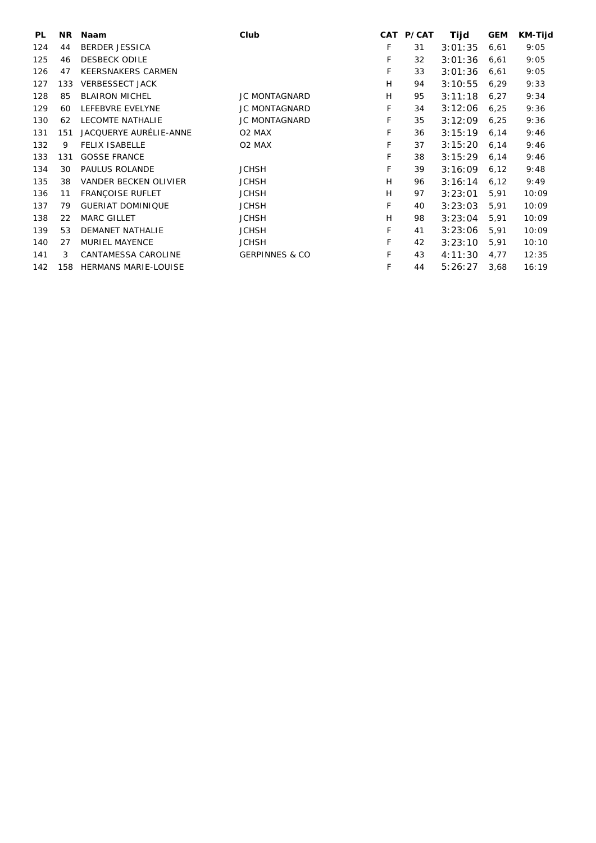| <b>PL</b> | NR. | <b>Naam</b>                  | Club                      | <b>CAT</b> | <b>P/CAT</b> | Tijd    | <b>GEM</b> | KM-Tijd |
|-----------|-----|------------------------------|---------------------------|------------|--------------|---------|------------|---------|
| 124       | 44  | <b>BERDER JESSICA</b>        |                           | F          | 31           | 3:01:35 | 6,61       | 9:05    |
| 125       | 46  | <b>DESBECK ODILE</b>         |                           | F          | 32           | 3:01:36 | 6,61       | 9:05    |
| 126       | 47  | <b>KEERSNAKERS CARMEN</b>    |                           | F          | 33           | 3:01:36 | 6,61       | 9:05    |
| 127       | 133 | <b>VERBESSECT JACK</b>       |                           | H          | 94           | 3:10:55 | 6,29       | 9:33    |
| 128       | 85  | <b>BLAIRON MICHEL</b>        | JC MONTAGNARD             | H          | 95           | 3:11:18 | 6,27       | 9:34    |
| 129       | 60  | LEFEBVRE EVELYNE             | <b>JC MONTAGNARD</b>      | F          | 34           | 3:12:06 | 6,25       | 9:36    |
| 130       | 62  | <b>LECOMTE NATHALIE</b>      | <b>JC MONTAGNARD</b>      | F          | 35           | 3:12:09 | 6,25       | 9:36    |
| 131       | 151 | JACQUERYE AURÉLIE-ANNE       | O <sub>2</sub> MAX        | F          | 36           | 3:15:19 | 6,14       | 9:46    |
| 132       | 9   | <b>FELIX ISABELLE</b>        | O <sub>2</sub> MAX        | F          | 37           | 3:15:20 | 6,14       | 9:46    |
| 133       | 131 | <b>GOSSE FRANCE</b>          |                           | F          | 38           | 3:15:29 | 6,14       | 9:46    |
| 134       | 30  | <b>PAULUS ROLANDE</b>        | <b>JCHSH</b>              | F          | 39           | 3:16:09 | 6,12       | 9:48    |
| 135       | 38  | <b>VANDER BECKEN OLIVIER</b> | <b>JCHSH</b>              | H          | 96           | 3:16:14 | 6,12       | 9:49    |
| 136       | 11  | <b>FRANCOISE RUFLET</b>      | <b>JCHSH</b>              | H          | 97           | 3:23:01 | 5,91       | 10:09   |
| 137       | 79  | <b>GUERIAT DOMINIQUE</b>     | <b>JCHSH</b>              | F          | 40           | 3:23:03 | 5,91       | 10:09   |
| 138       | 22  | <b>MARC GILLET</b>           | <b>JCHSH</b>              | H          | 98           | 3:23:04 | 5,91       | 10:09   |
| 139       | 53  | <b>DEMANET NATHALIE</b>      | <b>JCHSH</b>              | F          | 41           | 3:23:06 | 5,91       | 10:09   |
| 140       | 27  | <b>MURIEL MAYENCE</b>        | <b>JCHSH</b>              | F          | 42           | 3:23:10 | 5,91       | 10:10   |
| 141       | 3   | CANTAMESSA CAROLINE          | <b>GERPINNES &amp; CO</b> | F          | 43           | 4:11:30 | 4,77       | 12:35   |
| 142       | 158 | <b>HERMANS MARIE-LOUISE</b>  |                           | F          | 44           | 5:26:27 | 3,68       | 16:19   |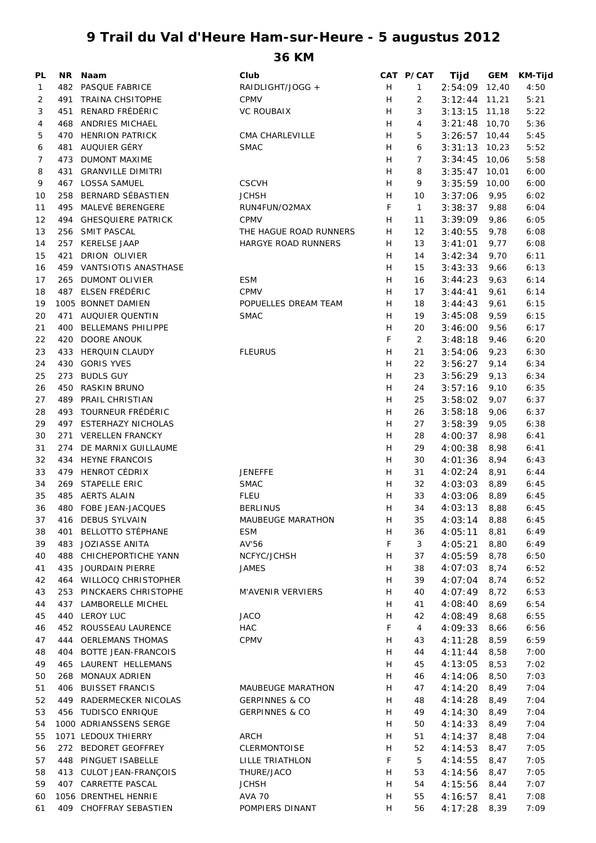## **9 Trail du Val d'Heure Ham-sur-Heure - 5 augustus 2012**

**36 KM**

| PL           | NR. | <b>Naam</b>                | Club                       |    | CAT P/CAT    | Tijd            | <b>GEM</b> | KM-Tijd |
|--------------|-----|----------------------------|----------------------------|----|--------------|-----------------|------------|---------|
| $\mathbf{1}$ | 482 | PASQUE FABRICE             | RAIDLIGHT/JOGG +           | H  | $\mathbf{1}$ | 2:54:09         | 12,40      | 4:50    |
| 2            | 491 | <b>TRAINA CHSITOPHE</b>    | <b>CPMV</b>                | H  | 2            | 3:12:44         | 11,21      | 5:21    |
| 3            | 451 | RENARD FRÉDÉRIC            | <b>VC ROUBAIX</b>          | H  | 3            | $3:13:15$ 11,18 |            | 5:22    |
| 4            | 468 | <b>ANDRIES MICHAEL</b>     |                            | Н  | 4            | $3:21:48$ 10,70 |            | 5:36    |
| 5            | 470 | <b>HENRION PATRICK</b>     | CMA CHARLEVILLE            | H  | 5            | 3:26:57         | 10,44      | 5:45    |
| 6            | 481 | AUQUIER GÉRY               | <b>SMAC</b>                | H  | 6            | 3:31:13         | 10,23      | 5:52    |
| 7            | 473 | <b>DUMONT MAXIME</b>       |                            | H  | 7            | 3:34:45         | 10,06      | 5:58    |
| 8            | 431 | <b>GRANVILLE DIMITRI</b>   |                            | H  | 8            | 3:35:47         | 10,01      | 6:00    |
| 9            | 467 | <b>LOSSA SAMUEL</b>        | <b>CSCVH</b>               | H  | 9            | 3:35:59         | 10,00      | 6:00    |
|              |     | <b>BERNARD SÉBASTIEN</b>   | <b>JCHSH</b>               | H  |              |                 |            |         |
| 10           | 258 |                            |                            |    | 10           | 3:37:06         | 9,95       | 6:02    |
| 11           | 495 | MALEVÉ BERENGERE           | RUN4FUN/O2MAX              | F  | $\mathbf{1}$ | 3:38:37         | 9,88       | 6:04    |
| 12           | 494 | <b>GHESQUIERE PATRICK</b>  | <b>CPMV</b>                | H  | 11           | 3:39:09         | 9,86       | 6:05    |
| 13           | 256 | SMIT PASCAL                | THE HAGUE ROAD RUNNERS     | Н  | 12           | 3:40:55         | 9,78       | 6:08    |
| 14           | 257 | <b>KERELSE JAAP</b>        | <b>HARGYE ROAD RUNNERS</b> | Н  | 13           | 3:41:01         | 9,77       | 6:08    |
| 15           | 421 | <b>DRION OLIVIER</b>       |                            | Н  | 14           | 3:42:34         | 9,70       | 6:11    |
| 16           |     | 459 VANTSIOTIS ANASTHASE   |                            | Н  | 15           | 3:43:33         | 9,66       | 6:13    |
| 17           | 265 | <b>DUMONT OLIVIER</b>      | <b>ESM</b>                 | Н  | 16           | 3:44:23         | 9,63       | 6:14    |
| 18           | 487 | ELSEN FRÉDÉRIC             | CPMV                       | H  | 17           | 3:44:41         | 9,61       | 6:14    |
| 19           |     | 1005 BONNET DAMIEN         | POPUELLES DREAM TEAM       | H  | 18           | 3:44:43         | 9,61       | 6:15    |
| 20           | 471 | <b>AUQUIER QUENTIN</b>     | <b>SMAC</b>                | H  | 19           | 3:45:08         | 9,59       | 6:15    |
| 21           | 400 | <b>BELLEMANS PHILIPPE</b>  |                            | Н  | 20           | 3:46:00         | 9,56       | 6:17    |
| 22           | 420 | <b>DOORE ANOUK</b>         |                            | F  | 2            | 3:48:18         | 9,46       | 6:20    |
| 23           | 433 | <b>HERQUIN CLAUDY</b>      | <b>FLEURUS</b>             | Н  | 21           | 3:54:06         | 9,23       | 6:30    |
| 24           | 430 | <b>GORIS YVES</b>          |                            | H  | 22           | 3:56:27         | 9,14       | 6:34    |
| 25           | 273 | <b>BUDLS GUY</b>           |                            | H  | 23           | 3:56:29         | 9,13       | 6:34    |
| 26           | 450 | RASKIN BRUNO               |                            | Н  | 24           | 3:57:16         | 9,10       | 6:35    |
|              |     | PRAIL CHRISTIAN            |                            | H  | 25           |                 |            |         |
| 27           | 489 |                            |                            |    |              | 3:58:02         | 9,07       | 6:37    |
| 28           | 493 | TOURNEUR FRÉDÉRIC          |                            | Н  | 26           | 3:58:18         | 9,06       | 6:37    |
| 29           | 497 | <b>ESTERHAZY NICHOLAS</b>  |                            | H  | 27           | 3:58:39         | 9,05       | 6:38    |
| 30           | 271 | <b>VERELLEN FRANCKY</b>    |                            | H  | 28           | 4:00:37         | 8,98       | 6:41    |
| 31           | 274 | DE MARNIX GUILLAUME        |                            | H  | 29           | 4:00:38         | 8,98       | 6:41    |
| 32           | 434 | <b>HEYNE FRANCOIS</b>      |                            | Н  | 30           | 4:01:36         | 8,94       | 6:43    |
| 33           | 479 | HENROT CÉDRIX              | <b>JENEFFE</b>             | Н  | 31           | 4:02:24         | 8,91       | 6:44    |
| 34           | 269 | STAPELLE ERIC              | <b>SMAC</b>                | Н  | 32           | 4:03:03         | 8,89       | 6:45    |
| 35           |     | 485 AERTS ALAIN            | <b>FLEU</b>                | Н  | 33           | 4:03:06         | 8,89       | 6:45    |
| 36           |     | 480 FOBE JEAN-JACQUES      | <b>BERLINUS</b>            | H  | 34           | 4:03:13         | 8,88       | 6:45    |
| 37           |     | 416 DEBUS SYLVAIN          | MAUBEUGE MARATHON          | Н  | 35           | $4:03:14$ 8,88  |            | 6:45    |
| 38           |     | 401 BELLOTTO STÉPHANE      | <b>ESM</b>                 | H. | 36           | 4:05:11         | 8,81       | 6:49    |
| 39           |     | 483 JOZIASSE ANITA         | AV'56                      | F  | 3            | 4:05:21         | 8,80       | 6:49    |
| 40           |     | 488 CHICHEPORTICHE YANN    | NCFYC/JCHSH                | Н  | 37           | 4:05:59         | 8,78       | 6:50    |
| 41           |     | 435 JOURDAIN PIERRE        | <b>JAMES</b>               | Н  | 38           | 4:07:03         | 8,74       | 6:52    |
| 42           |     | 464 WILLOCQ CHRISTOPHER    |                            | Н  | 39           | 4:07:04         | 8,74       | 6:52    |
| 43           |     | 253 PINCKAERS CHRISTOPHE   | M'AVENIR VERVIERS          | Н  | 40           | 4:07:49         | 8,72       | 6:53    |
| 44           | 437 | LAMBORELLE MICHEL          |                            | Н  | 41           | 4:08:40         | 8,69       | 6:54    |
| 45           |     | 440 LEROY LUC              | <b>JACO</b>                | Н  | 42           | 4:08:49         | 8,68       | 6:55    |
| 46           |     | 452 ROUSSEAU LAURENCE      | HAC                        | F  | 4            | 4:09:33         | 8,66       | 6:56    |
| 47           |     | 444 OERLEMANS THOMAS       | CPMV                       | Н  | 43           | 4:11:28         | 8,59       | 6:59    |
|              |     |                            |                            |    |              |                 |            |         |
| 48           | 404 | <b>BOTTE JEAN-FRANCOIS</b> |                            | Н  | 44           | 4:11:44         | 8,58       | 7:00    |
| 49           |     | 465 LAURENT HELLEMANS      |                            | н  | 45           | 4:13:05         | 8,53       | 7:02    |
| 50           |     | 268 MONAUX ADRIEN          |                            | н  | 46           | 4:14:06         | 8,50       | 7:03    |
| 51           |     | 406 BUISSET FRANCIS        | <b>MAUBEUGE MARATHON</b>   | H  | 47           | 4:14:20         | 8,49       | 7:04    |
| 52           |     | 449 RADERMECKER NICOLAS    | <b>GERPINNES &amp; CO</b>  | H  | 48           | 4:14:28         | 8,49       | 7:04    |
| 53           |     | 456 TUDISCO ENRIQUE        | <b>GERPINNES &amp; CO</b>  | H  | 49           | 4:14:30         | 8,49       | 7:04    |
| 54           |     | 1000 ADRIANSSENS SERGE     |                            | H  | 50           | 4:14:33         | 8,49       | 7:04    |
| 55           |     | 1071 LEDOUX THIERRY        | ARCH                       | H  | 51           | 4:14:37         | 8,48       | 7:04    |
| 56           |     | 272 BEDORET GEOFFREY       | <b>CLERMONTOISE</b>        | H  | 52           | 4:14:53         | 8,47       | 7:05    |
| 57           |     | 448 PINGUET ISABELLE       | LILLE TRIATHLON            | F  | 5            | 4:14:55         | 8,47       | 7:05    |
| 58           |     | 413 CULOT JEAN-FRANÇOIS    | THURE/JACO                 | H  | 53           | 4:14:56         | 8,47       | 7:05    |
| 59           |     | 407 CARRETTE PASCAL        | <b>JCHSH</b>               | H  | 54           | 4:15:56         | 8,44       | 7:07    |
| 60           |     | 1056 DRENTHEL HENRIE       | <b>AVA 70</b>              | H  | 55           | 4:16:57         | 8,41       | 7:08    |
| 61           |     | 409 CHOFFRAY SEBASTIEN     | POMPIERS DINANT            | н  | 56           | 4:17:28         | 8,39       | 7:09    |
|              |     |                            |                            |    |              |                 |            |         |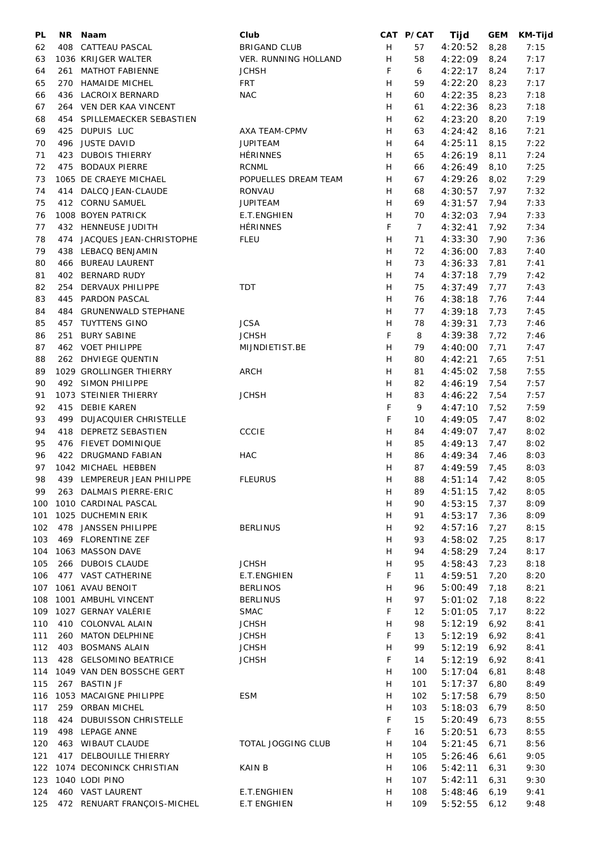| PL  | NR. | Naam                         | Club                 |   | CAT P/CAT      | Tijd         | <b>GEM</b> | <b>KM-Tijd</b> |
|-----|-----|------------------------------|----------------------|---|----------------|--------------|------------|----------------|
| 62  | 408 | CATTEAU PASCAL               | <b>BRIGAND CLUB</b>  | H | 57             | 4:20:52      | 8,28       | 7:15           |
| 63  |     | 1036 KRIJGER WALTER          | VER. RUNNING HOLLAND | H | 58             | 4:22:09      | 8,24       | 7:17           |
| 64  | 261 | <b>MATHOT FABIENNE</b>       | <b>JCHSH</b>         | F | 6              | 4:22:17      | 8,24       | 7:17           |
| 65  | 270 | HAMAIDE MICHEL               | <b>FRT</b>           | H | 59             | 4:22:20      | 8,23       | 7:17           |
|     |     |                              |                      |   |                |              |            |                |
| 66  |     | 436 LACROIX BERNARD          | <b>NAC</b>           | H | 60             | 4:22:35      | 8,23       | 7:18           |
| 67  |     | 264 VEN DER KAA VINCENT      |                      | H | 61             | 4:22:36      | 8,23       | 7:18           |
| 68  | 454 | SPILLEMAECKER SEBASTIEN      |                      | H | 62             | 4:23:20      | 8,20       | 7:19           |
| 69  | 425 | DUPUIS LUC                   | <b>AXA TEAM-CPMV</b> | H | 63             | 4:24:42      | 8,16       | 7:21           |
| 70  | 496 | <b>JUSTE DAVID</b>           | <b>JUPITEAM</b>      | H | 64             | 4:25:11      | 8,15       | 7:22           |
| 71  | 423 | <b>DUBOIS THIERRY</b>        | <b>HÉRINNES</b>      | H | 65             | 4:26:19      | 8,11       | 7:24           |
| 72  | 475 | <b>BODAUX PIERRE</b>         | <b>RCNML</b>         | H | 66             | 4:26:49      | 8,10       | 7:25           |
| 73  |     | 1065 DE CRAEYE MICHAEL       | POPUELLES DREAM TEAM | H | 67             | 4:29:26      | 8,02       | 7:29           |
| 74  | 414 | DALCQ JEAN-CLAUDE            | <b>RONVAU</b>        | H | 68             | 4:30:57      | 7,97       | 7:32           |
| 75  | 412 | CORNU SAMUEL                 | <b>JUPITEAM</b>      | H | 69             |              |            | 7:33           |
|     |     |                              |                      |   |                | 4:31:57      | 7,94       |                |
| 76  |     | 1008 BOYEN PATRICK           | E.T.ENGHIEN          | H | 70             | 4:32:03      | 7,94       | 7:33           |
| 77  |     | 432 HENNEUSE JUDITH          | <b>HÉRINNES</b>      | F | $\overline{7}$ | 4:32:41      | 7,92       | 7:34           |
| 78  | 474 | JACQUES JEAN-CHRISTOPHE      | <b>FLEU</b>          | H | 71             | 4:33:30      | 7,90       | 7:36           |
| 79  |     | 438 LEBACQ BENJAMIN          |                      | H | 72             | 4:36:00      | 7,83       | 7:40           |
| 80  | 466 | <b>BUREAU LAURENT</b>        |                      | H | 73             | 4:36:33      | 7,81       | 7:41           |
| 81  |     | 402 BERNARD RUDY             |                      | H | 74             | 4:37:18      | 7,79       | 7:42           |
| 82  | 254 | DERVAUX PHILIPPE             | <b>TDT</b>           | H | 75             | 4:37:49      | 7,77       | 7:43           |
| 83  |     | 445 PARDON PASCAL            |                      | H | 76             | 4:38:18      | 7,76       | 7:44           |
| 84  | 484 | <b>GRUNENWALD STEPHANE</b>   |                      | H | 77             | 4:39:18      | 7,73       | 7:45           |
|     |     |                              |                      |   |                |              |            |                |
| 85  | 457 | <b>TUYTTENS GINO</b>         | <b>JCSA</b>          | H | 78             | 4:39:31      | 7,73       | 7:46           |
| 86  | 251 | <b>BURY SABINE</b>           | <b>JCHSH</b>         | F | 8              | 4:39:38      | 7,72       | 7:46           |
| 87  |     | 462 VOET PHILIPPE            | MIJNDIETIST.BE       | H | 79             | 4:40:00      | 7,71       | 7:47           |
| 88  |     | 262 DHVIEGE QUENTIN          |                      | H | 80             | 4:42:21      | 7,65       | 7:51           |
| 89  |     | 1029 GROLLINGER THIERRY      | <b>ARCH</b>          | H | 81             | 4:45:02      | 7,58       | 7:55           |
| 90  |     | 492 SIMON PHILIPPE           |                      | H | 82             | 4:46:19      | 7,54       | 7:57           |
| 91  |     | 1073 STEINIER THIERRY        | <b>JCHSH</b>         | H | 83             | 4:46:22      | 7,54       | 7:57           |
| 92  |     | 415 DEBIE KAREN              |                      | F | 9              | 4:47:10      | 7,52       | 7:59           |
| 93  | 499 | <b>DUJACQUIER CHRISTELLE</b> |                      | F | 10             | 4:49:05      | 7,47       | 8:02           |
| 94  | 418 | DEPRETZ SEBASTIEN            | CCCIE                | Н | 84             | 4:49:07      |            | 8:02           |
|     |     |                              |                      |   |                |              | 7,47       |                |
| 95  |     | 476 FIEVET DOMINIQUE         |                      | H | 85             | 4:49:13      | 7,47       | 8:02           |
| 96  |     | 422 DRUGMAND FABIAN          | <b>HAC</b>           | Н | 86             | 4:49:34      | 7,46       | 8:03           |
| 97  |     | 1042 MICHAEL HEBBEN          |                      | H | 87             | 4:49:59      | 7,45       | 8:03           |
| 98  |     | 439 LEMPEREUR JEAN PHILIPPE  | <b>FLEURUS</b>       | H | 88             | 4:51:14 7,42 |            | 8:05           |
| 99  |     | 263 DALMAIS PIERRE-ERIC      |                      | H | 89             | 4:51:15      | 7,42       | 8:05           |
| 100 |     | 1010 CARDINAL PASCAL         |                      | H | 90             | 4:53:15      | 7,37       | 8:09           |
| 101 |     | 1025 DUCHEMIN ERIK           |                      | H | 91             | 4:53:17      | 7,36       | 8:09           |
| 102 |     | 478 JANSSEN PHILIPPE         | <b>BERLINUS</b>      | H | 92             | 4:57:16      | 7,27       | 8:15           |
| 103 |     | 469 FLORENTINE ZEF           |                      | H | 93             | 4:58:02      | 7,25       | 8:17           |
| 104 |     | 1063 MASSON DAVE             |                      | H | 94             | 4:58:29      | 7,24       | 8:17           |
| 105 |     | 266 DUBOIS CLAUDE            | <b>JCHSH</b>         | H |                |              |            | 8:18           |
|     |     |                              |                      |   | 95             | 4:58:43      | 7,23       |                |
| 106 |     | 477 VAST CATHERINE           | E.T.ENGHIEN          | F | 11             | 4:59:51      | 7,20       | 8:20           |
| 107 |     | 1061 AVAU BENOIT             | <b>BERLINOS</b>      | H | 96             | 5:00:49      | 7,18       | 8:21           |
| 108 |     | 1001 AMBUHL VINCENT          | <b>BERLINUS</b>      | H | 97             | 5:01:02      | 7,18       | 8:22           |
| 109 |     | 1027 GERNAY VALÉRIE          | <b>SMAC</b>          | F | 12             | 5:01:05      | 7,17       | 8:22           |
| 110 |     | 410 COLONVAL ALAIN           | <b>JCHSH</b>         | Н | 98             | 5:12:19      | 6,92       | 8:41           |
| 111 |     | 260 MATON DELPHINE           | <b>JCHSH</b>         | F | 13             | 5:12:19      | 6,92       | 8:41           |
| 112 |     | 403 BOSMANS ALAIN            | <b>JCHSH</b>         | H | 99             | 5:12:19      | 6,92       | 8:41           |
| 113 |     | 428 GELSOMINO BEATRICE       | <b>JCHSH</b>         | F | 14             | 5:12:19      | 6,92       | 8:41           |
| 114 |     | 1049 VAN DEN BOSSCHE GERT    |                      | H | 100            | 5:17:04      | 6,81       | 8:48           |
| 115 |     | 267 BASTIN JF                |                      | H | 101            |              |            |                |
|     |     |                              |                      |   |                | 5:17:37      | 6,80       | 8:49           |
| 116 |     | 1053 MACAIGNE PHILIPPE       | <b>ESM</b>           | Н | 102            | 5:17:58      | 6,79       | 8:50           |
| 117 |     | 259 ORBAN MICHEL             |                      | H | 103            | 5:18:03      | 6,79       | 8:50           |
| 118 | 424 | <b>DUBUISSON CHRISTELLE</b>  |                      | F | 15             | 5:20:49      | 6,73       | 8:55           |
| 119 |     | 498 LEPAGE ANNE              |                      | F | 16             | 5:20:51      | 6,73       | 8:55           |
| 120 |     | 463 WIBAUT CLAUDE            | TOTAL JOGGING CLUB   | H | 104            | 5:21:45      | 6,71       | 8:56           |
| 121 |     | 417 DELBOUILLE THIERRY       |                      | H | 105            | 5:26:46      | 6,61       | 9:05           |
| 122 |     | 1074 DECONINCK CHRISTIAN     | <b>KAINB</b>         | H | 106            | 5:42:11      | 6,31       | 9:30           |
| 123 |     | 1040 LODI PINO               |                      | H | 107            | 5:42:11      | 6,31       | 9:30           |
| 124 |     | 460 VAST LAURENT             | E.T.ENGHIEN          | H | 108            | 5:48:46      | 6,19       | 9:41           |
| 125 |     | 472 RENUART FRANÇOIS-MICHEL  | <b>E.T ENGHIEN</b>   | H | 109            | 5:52:55      | 6,12       | 9:48           |
|     |     |                              |                      |   |                |              |            |                |